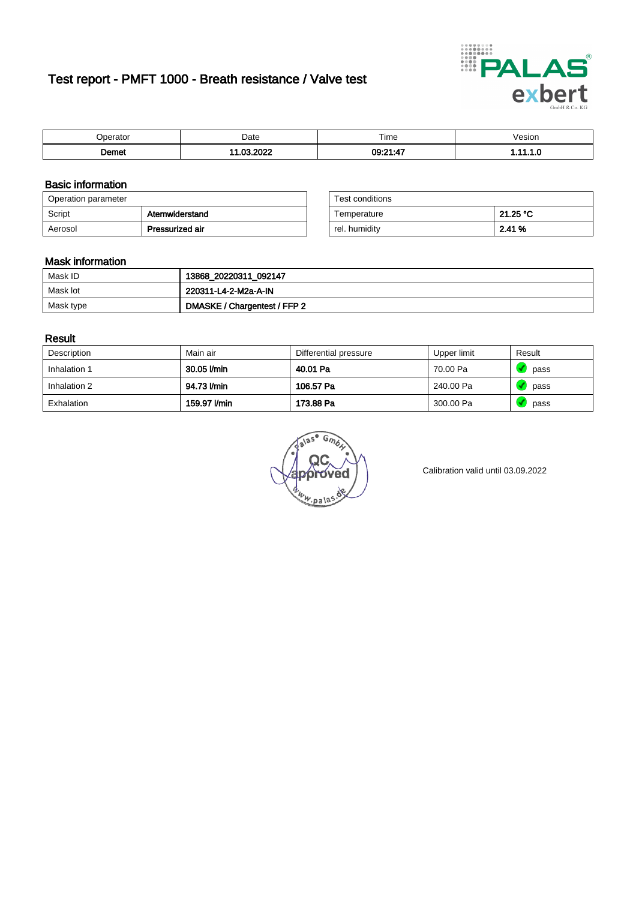# Test report - PMFT 1000 - Breath resistance / Valve test



| 'perator | Date                                   | Time           | 'esıon<br>. |
|----------|----------------------------------------|----------------|-------------|
| ിemet    | 0.000<br>œ<br>$\overline{\phantom{a}}$ | $-4-$<br>09:21 | . .         |

### Basic information

| Operation parameter |                 | Test conditions |          |
|---------------------|-----------------|-----------------|----------|
| Script              | Atemwiderstand  | Temperature     | 21.25 °C |
| Aerosol             | Pressurized air | rel. humidity   | 2.41 %   |

| Test conditions |          |
|-----------------|----------|
| Temperature     | 21.25 °C |
| rel. humidity   | 2.41%    |

#### Mask information

| Mask ID   | 13868_20220311_092147        |
|-----------|------------------------------|
| Mask lot  | 220311-L4-2-M2a-A-IN         |
| Mask type | DMASKE / Chargentest / FFP 2 |

### Result

| Description  | Main air     | Differential pressure | Upper limit | Result |
|--------------|--------------|-----------------------|-------------|--------|
| Inhalation 1 | 30.05 l/min  | 40.01 Pa              | 70.00 Pa    | pass   |
| Inhalation 2 | 94.73 I/min  | 106.57 Pa             | 240.00 Pa   | pass   |
| Exhalation   | 159.97 l/min | 173.88 Pa             | 300.00 Pa   | pass   |

 $u_{\mu,pal}$ 

Calibration valid until 03.09.2022